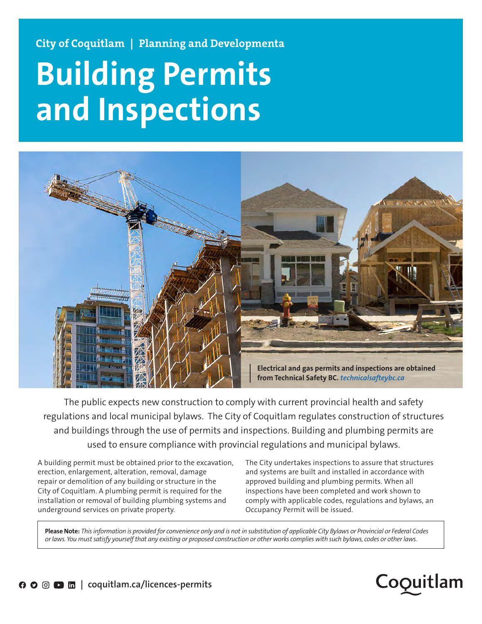**City of Coquitlam | Planning and Developmenta**

# **Building Permits and Inspections**



The public expects new construction to comply with current provincial health and safety regulations and local municipal bylaws. The City of Coquitlam regulates construction of structures and buildings through the use of permits and inspections. Building and plumbing permits are used to ensure compliance with provincial regulations and municipal bylaws.

A building permit must be obtained prior to the excavation, erection, enlargement, alteration, removal, damage repair or demolition of any building or structure in the City of Coquitlam. A plumbing permit is required for the installation or removal of building plumbing systems and underground services on private property.

The City undertakes inspections to assure that structures and systems are built and installed in accordance with approved building and plumbing permits. When all inspections have been completed and work shown to comply with applicable codes, regulations and bylaws, an Occupancy Permit will be issued.

**Please Note:** *This information is provided for convenience only and is not in substitution of applicable City Bylaws or Provincial or Federal Codes or laws. You must satisfy yourself that any existing or proposed construction or other works complies with such bylaws, codes or other laws.*

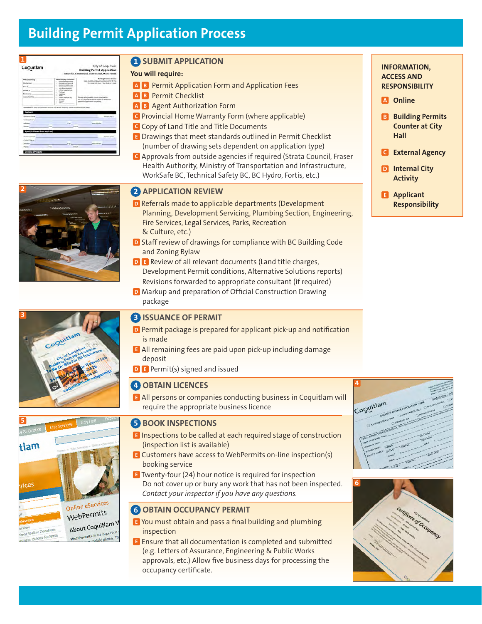# **Building Permit Application Process**

| Coquitlam                                                                                                                                            | City of Coquitlam<br><b>Building Permit Application</b><br>Industrial, Commercial, Institutional, Multi-Family |                                                                                                                                                                                                                                                                                                                                                                                                                                                                                                                                                                                                                                           |  |                                 |                      |
|------------------------------------------------------------------------------------------------------------------------------------------------------|----------------------------------------------------------------------------------------------------------------|-------------------------------------------------------------------------------------------------------------------------------------------------------------------------------------------------------------------------------------------------------------------------------------------------------------------------------------------------------------------------------------------------------------------------------------------------------------------------------------------------------------------------------------------------------------------------------------------------------------------------------------------|--|---------------------------------|----------------------|
| Office Use Only<br>File Number<br>From E.<br><b>Seagh F</b><br><b>Several Inc.</b>                                                                   | ٠<br>۰<br>÷                                                                                                    | Office this Only for Behind<br>(applicated Way, Coordinate BC V plk 350).<br>1. Newsletter and Programme<br>Tel Six 407-5441 Eng Rog 407-9460<br><b><i>Dentsyment Geniene</i></b><br><b>ENVIRONMENTAL Systems</b><br><b>Transportation Limiters</b><br>this seal furnity structure<br>Lessing and Finlin fum<br>Fox Dool.<br><b><i>FARM TOURS</i></b><br>$\sim$<br><b>HOME</b><br>Sim and suit unfurnished pursue at purting it in<br>٠<br><b>Silver Olympickel, all</b><br>this fact and Charges Byline and do not pureacher<br><b>DC Ford of</b><br><br><b>Robins</b><br>÷<br>approved of conduction in our way.<br><b>Village</b><br>٠ |  | <b>Building Permits Glynian</b> |                      |
| Associated River                                                                                                                                     |                                                                                                                |                                                                                                                                                                                                                                                                                                                                                                                                                                                                                                                                                                                                                                           |  |                                 |                      |
| below time. If your refurnation a mountal true a full allows by since affully adobted paper.<br>Applicant<br><b>Business Islame</b><br>CONTACT FLAMM |                                                                                                                |                                                                                                                                                                                                                                                                                                                                                                                                                                                                                                                                                                                                                                           |  |                                 | invoice to: 17       |
| <b>Address</b>                                                                                                                                       |                                                                                                                | <b>City</b>                                                                                                                                                                                                                                                                                                                                                                                                                                                                                                                                                                                                                               |  | Postal Code:                    |                      |
| <b>Mastei Allen</b><br>Agent (if different from applicant)<br><b>Business Mame:</b>                                                                  | <b>Carlos</b>                                                                                                  | <b>Email:</b>                                                                                                                                                                                                                                                                                                                                                                                                                                                                                                                                                                                                                             |  |                                 | <b>Invoice to: C</b> |
| <b>Contact Hame:</b><br><b>Address</b>                                                                                                               |                                                                                                                |                                                                                                                                                                                                                                                                                                                                                                                                                                                                                                                                                                                                                                           |  | Pestar Code:                    |                      |

### **1 SUBMIT APPLICATION**

### **You will require:**

- **A B** Permit Application Form and Application Fees
- **A B** Permit Checklist
- **A B** Agent Authorization Form
- **C** Provincial Home Warranty Form (where applicable)
- **C** Copy of Land Title and Title Documents
- **E** Drawings that meet standards outlined in Permit Checklist (number of drawing sets dependent on application type)
- **C** Approvals from outside agencies if required (Strata Council, Fraser Health Authority, Ministry of Transportation and Infrastructure, WorkSafe BC, Technical Safety BC, BC Hydro, Fortis, etc.)

### **2 APPLICATION REVIEW**

- **D** Referrals made to applicable departments (Development Planning, Development Servicing, Plumbing Section, Engineering, Fire Services, Legal Services, Parks, Recreation & Culture, etc.)
- **D** Staff review of drawings for compliance with BC Building Code and Zoning Bylaw
- **D E** Review of all relevant documents (Land title charges, Development Permit conditions, Alternative Solutions reports) Revisions forwarded to appropriate consultant (if required)
- **D** Markup and preparation of Official Construction Drawing package

### **3 ISSUANCE OF PERMIT**

- **D** Permit package is prepared for applicant pick-up and notification is made
- **E** All remaining fees are paid upon pick-up including damage deposit
- **D E** Permit(s) signed and issued

### **4 OBTAIN LICENCES**

**E** All persons or companies conducting business in Coquitlam will require the appropriate business licence

### **5 BOOK INSPECTIONS**

- **E** Inspections to be called at each required stage of construction (inspection list is available)
- **E** Customers have access to WebPermits on-line inspection(s) booking service
- **E** Twenty-four (24) hour notice is required for inspection Do not cover up or bury any work that has not been inspected. *Contact your inspector if you have any questions.*

### **6 OBTAIN OCCUPANCY PERMIT**

- **E** You must obtain and pass a final building and plumbing inspection
- **E** Ensure that all documentation is completed and submitted (e.g. Letters of Assurance, Engineering & Public Works approvals, etc.) Allow five business days for processing the occupancy certificate.

### **INFORMATION, ACCESS AND RESPONSIBILITY A Online B Building Permits**

- **Counter at City Hall**
- **C External Agency**
- **D Internal City Activity**
- **E Applicant Responsibility**









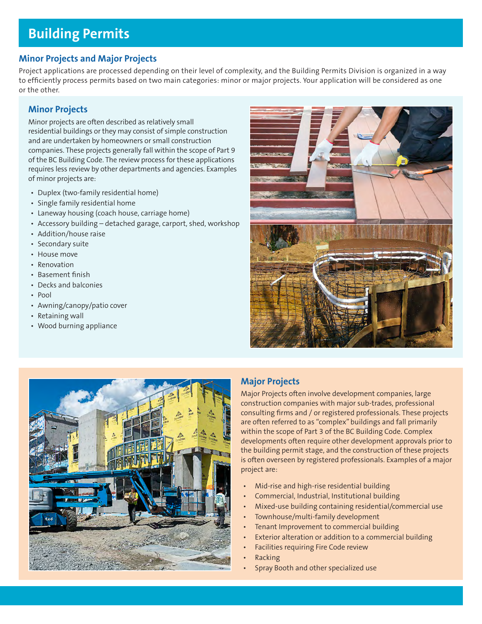# **Building Permits**

### **Minor Projects and Major Projects**

Project applications are processed depending on their level of complexity, and the Building Permits Division is organized in a way to efficiently process permits based on two main categories: minor or major projects. Your application will be considered as one or the other.

### **Minor Projects**

Minor projects are often described as relatively small residential buildings or they may consist of simple construction and are undertaken by homeowners or small construction companies. These projects generally fall within the scope of Part 9 of the BC Building Code. The review process for these applications requires less review by other departments and agencies. Examples of minor projects are:

- Duplex (two-family residential home)
- Single family residential home
- Laneway housing (coach house, carriage home)
- Accessory building detached garage, carport, shed, workshop
- Addition/house raise
- Secondary suite
- House move
- Renovation
- Basement finish
- Decks and balconies
- Pool
- Awning/canopy/patio cover
- Retaining wall
- Wood burning appliance





### **Major Projects**

Major Projects often involve development companies, large construction companies with major sub-trades, professional consulting firms and / or registered professionals. These projects are often referred to as "complex" buildings and fall primarily within the scope of Part 3 of the BC Building Code. Complex developments often require other development approvals prior to the building permit stage, and the construction of these projects is often overseen by registered professionals. Examples of a major project are:

- Mid-rise and high-rise residential building
- Commercial, Industrial, Institutional building
- Mixed-use building containing residential/commercial use
- Townhouse/multi-family development
- Tenant Improvement to commercial building
- Exterior alteration or addition to a commercial building
- Facilities requiring Fire Code review
- **Racking**
- Spray Booth and other specialized use